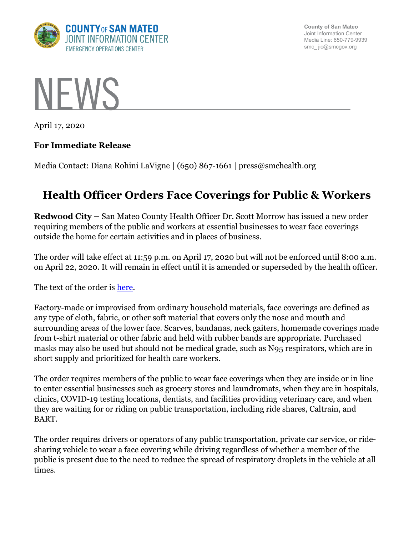

**County of San Mateo** Joint Information Center Media Line: 650-779-9939 smc\_ jic@smcgov.org



April 17, 2020

## **For Immediate Release**

Media Contact: Diana Rohini LaVigne | (650) 867-1661 | press@smchealth.org

## **Health Officer Orders Face Coverings for Public & Workers**

**Redwood City –** San Mateo County Health Officer Dr. Scott Morrow has issued a new order requiring members of the public and workers at essential businesses to wear face coverings outside the home for certain activities and in places of business.

The order will take effect at 11:59 p.m. on April 17, 2020 but will not be enforced until 8:00 a.m. on April 22, 2020. It will remain in effect until it is amended or superseded by the health officer.

The text of the order is [here.](https://cmo.smcgov.org/sites/cmo.smcgov.org/files/documents/files/HO%20Order%20c19-8%20Face%20Covering%2020200417.pdf)

Factory-made or improvised from ordinary household materials, face coverings are defined as any type of cloth, fabric, or other soft material that covers only the nose and mouth and surrounding areas of the lower face. Scarves, bandanas, neck gaiters, homemade coverings made from t-shirt material or other fabric and held with rubber bands are appropriate. Purchased masks may also be used but should not be medical grade, such as N95 respirators, which are in short supply and prioritized for health care workers.

The order requires members of the public to wear face coverings when they are inside or in line to enter essential businesses such as grocery stores and laundromats, when they are in hospitals, clinics, COVID-19 testing locations, dentists, and facilities providing veterinary care, and when they are waiting for or riding on public transportation, including ride shares, Caltrain, and BART.

The order requires drivers or operators of any public transportation, private car service, or ridesharing vehicle to wear a face covering while driving regardless of whether a member of the public is present due to the need to reduce the spread of respiratory droplets in the vehicle at all times.